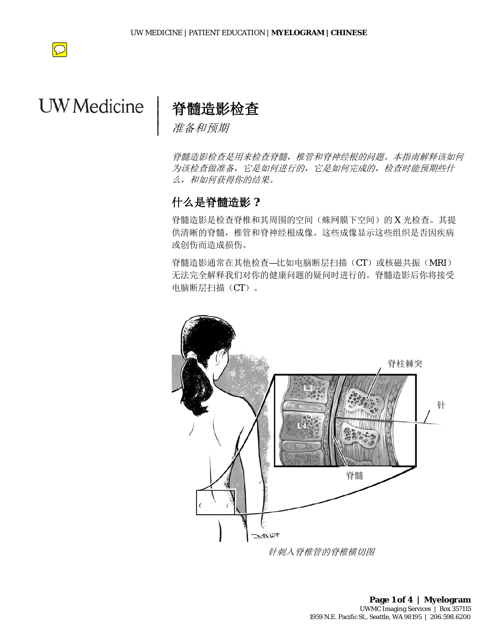

# $VM$ **UW** Medicine

# 脊髓造影检查

准备和预期

 $\overline{\phantom{a}}$  $\vert$  $\vert$  $\vert$ 

> 脊髓造影检查是用来检查脊髓,椎管和脊神经根的问题。本指南解释该如何 为该检查做准备,它是如何进行的,它是如何完成的,检查时能预期些什 么,和如何获得你的结果。

# 什么是脊髓造影 **?**

脊髓造影是检查脊椎和其周围的空间(蛛网膜下空间)的 X 光检查。其提 供清晰的脊髓,椎管和脊神经根成像。这些成像显示这些组织是否因疾病 或创伤而造成损伤。

脊髓造影通常在其他检查—比如电脑断层扫描(CT)或核磁共振(MRI) 无法完全解释我们对你的健康问题的疑问时进行的。脊髓造影后你将接受 电脑断层扫描(CT)。



针刺入脊椎管的脊椎横切图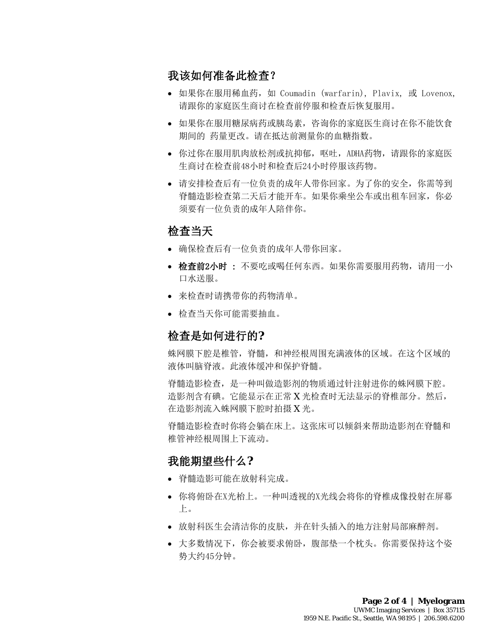# 我该如何准备此检查?

- 如果你在服用稀血药,如 Coumadin (warfarin), Plavix, 或 Lovenox, 请跟你的家庭医生商讨在检查前停服和检查后恢复服用。
- 如果你在服用糖尿病药或胰岛素,咨询你的家庭医生商讨在你不能饮食 期间的 药量更改。请在抵达前测量你的血糖指数。
- 你过你在服用肌肉放松剂或抗抑郁,呕吐,ADHA药物,请跟你的家庭医 生商讨在检查前48小时和检查后24小时停服该药物。
- 请安排检查后有一位负责的成年人带你回家。为了你的安全,你需等到 脊髓造影检查第二天后才能开车。如果你乘坐公车或出租车回家,你必 须要有一位负责的成年人陪伴你。

# 检查当天

- 确保检查后有一位负责的成年人带你回家。
- 检查前2小时 : 不要吃或喝任何东西。如果你需要服用药物,请用一小 口水送服。
- 来检查时请携带你的药物清单。
- 检查当天你可能需要抽血。

# 检查是如何进行的**?**

蛛网膜下腔是椎管,脊髓,和神经根周围充满液体的区域。在这个区域的 液体叫脑脊液。此液体缓冲和保护脊髓。

脊髓造影检查,是一种叫做造影剂的物质通过针注射进你的蛛网膜下腔。 造影剂含有碘。它能显示在正常 X 光检查时无法显示的脊椎部分。然后, 在造影剂流入蛛网膜下腔时拍摄 X 光。

脊髓造影检查时你将会躺在床上。这张床可以倾斜来帮助造影剂在脊髓和 椎管神经根周围上下流动。

# 我能期望些什么**?**

• 脊髓造影可能在放射科完成。

- 你将俯卧在X光枱上。一种叫透视的X光线会将你的脊椎成像投射在屏幕 上。
- 放射科医生会清洁你的皮肤,并在针头插入的地方注射局部麻醉剂。
- 大多数情况下,你会被要求俯卧,腹部垫一个枕头。你需要保持这个姿 势大约45分钟。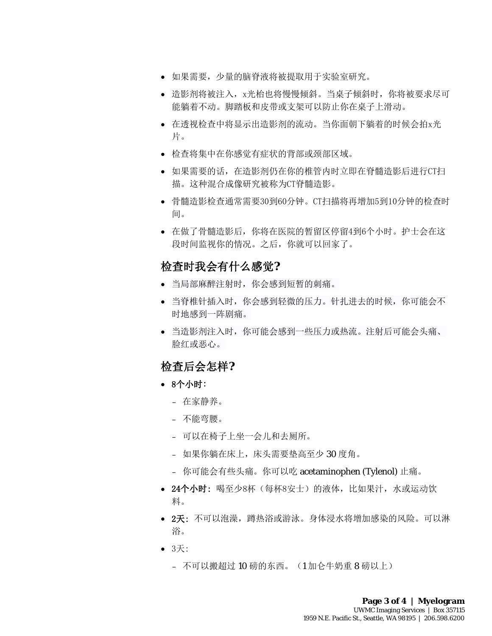- 如果需要,少量的脑脊液将被提取用于实验室研究。
- 造影剂将被注入,x光枱也将慢慢倾斜。当桌子倾斜时,你将被要求尽可 能躺着不动。脚踏板和皮带或支架可以防止你在桌子上滑动。
- 在透视检查中将显示出造影剂的流动。当你面朝下躺着的时候会拍x光 片。
- 检查将集中在你感觉有症状的背部或颈部区域。
- 如果需要的话,在造影剂仍在你的椎管内时立即在脊髓造影后进行CT扫 描。这种混合成像研究被称为CT脊髓造影。
- 骨髓造影检查通常需要30到60分钟。CT扫描将再增加5到10分钟的检查时 间。
- 在做了骨髓造影后,你将在医院的暂留区停留4到6个小时。护士会在这 段时间监视你的情况。之后,你就可以回家了。

## 检查时我会有什么感觉**?**

- 当局部麻醉注射时,你会感到短暂的刺痛。
- 当脊椎针插入时,你会感到轻微的压力。针扎进去的时候,你可能会不 时地感到一阵剧痛。
- 当造影剂注入时,你可能会感到一些压力或热流。注射后可能会头痛、 脸红或恶心。

## 检查后会怎样**?**

- 8个小时:
	- 在家静养。
	- 不能弯腰。
	- 可以在椅子上坐一会儿和去厕所。

- 如果你躺在床上,床头需要垫高至少 30 度角。
- 你可能会有些头痛。你可以吃 acetaminophen (Tylenol) 止痛。
- 24个小时: 喝至少8杯(每杯8安士)的液体, 比如果汁, 水或运动饮 料。
- 2天: 不可以泡澡, 蹲热浴或游泳。身体浸水将增加感染的风险。可以淋 浴。
- 3天:
	- 不可以搬超过 10 磅的东西。(1 加仑牛奶重 8 磅以上)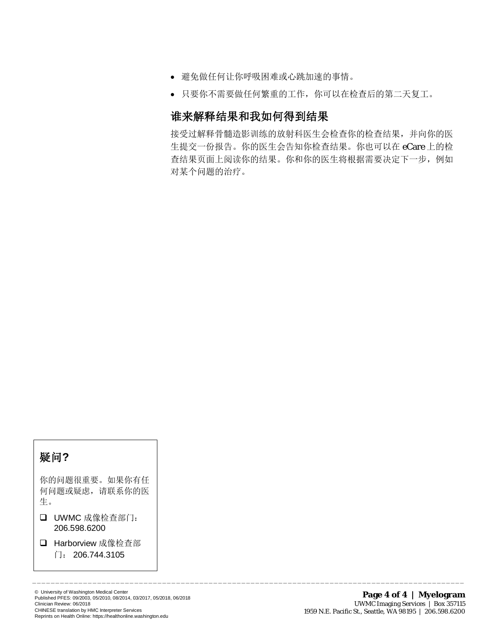- 避免做任何让你呼吸困难或心跳加速的事情。
- 只要你不需要做任何繁重的工作,你可以在检查后的第二天复工。

# 谁来解释结果和我如何得到结果

 $\bot$  , and the state of the state of the state of the state of the state of the state of the state of the state of the state of the state of the state of the state of the state of the state of the state of the state of th

接受过解释骨髓造影训练的放射科医生会检查你的检查结果,并向你的医 生提交一份报告。你的医生会告知你检查结果。你也可以在 eCare 上的检 查结果页面上阅读你的结果。你和你的医生将根据需要决定下一步,例如 对某个问题的治疗。

# 疑问**?**

I很重要<br>C疑虑,<br>598.62C 你的问题很重要。如果你有任 何问题或疑虑,请联系你的医 生。

- □ UWMC 成像检查部门: 206.598.6200
- □ Harborview 成像检查部
	- 门: 206.744.3105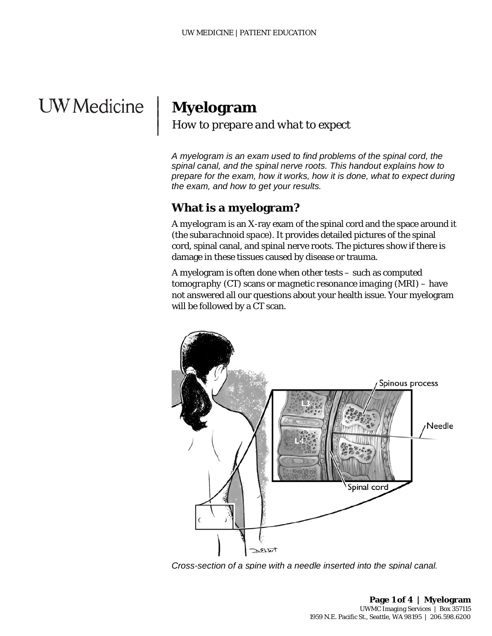# **UW** Medicine

# **Myelogram**

 $\overline{\phantom{a}}$  $\vert$  $\vert$  $\vert$ 

### *How to prepare and what to expect*

*A myelogram is an exam used to find problems of the spinal cord, the spinal canal, and the spinal nerve roots. This handout explains how to prepare for the exam, how it works, how it is done, what to expect during the exam, and how to get your results.*

# **What is a myelogram?**

A *myelogram* is an [X-ray](javascript:glossAry() exam of the spinal cord and the space around it (the *[subarachnoid space](javascript:glossAry()*). It provides detailed pictures of the spinal cord, spinal canal, and spinal nerve roots. The pictures show if there is damage in these tissues caused by disease or trauma.

A myelogram is often done when other tests – such as *computed tomography* (CT) scans or *magnetic resonance imaging* (MRI) – have not answered all our questions about your health issue. Your myelogram will be followed by a CT scan.



*Cross-section of a spine with a needle inserted into the spinal canal.*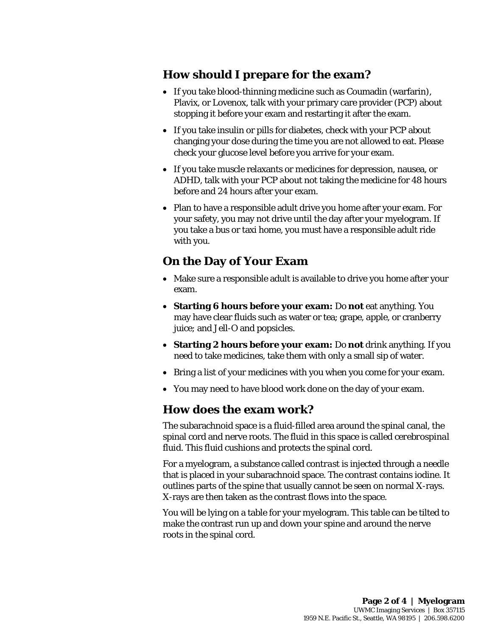# **How should I prepare for the exam?**

- If you take blood-thinning medicine such as Coumadin (warfarin), Plavix, or Lovenox, talk with your primary care provider (PCP) about stopping it before your exam and restarting it after the exam.
- If you take insulin or pills for diabetes, check with your PCP about changing your dose during the time you are not allowed to eat. Please check your glucose level before you arrive for your exam.
- If you take muscle relaxants or medicines for depression, nausea, or ADHD, talk with your PCP about not taking the medicine for 48 hours before and 24 hours after your exam.
- Plan to have a responsible adult drive you home after your exam. For your safety, you may not drive until the day after your myelogram. If you take a bus or taxi home, you must have a responsible adult ride with you.

# **On the Day of Your Exam**

- Make sure a responsible adult is available to drive you home after your exam.
- **Starting 6 hours before your exam:** Do **not** eat anything. You may have clear fluids such as water or tea; grape, apple, or cranberry juice; and Jell-O and popsicles.
- **Starting 2 hours before your exam:** Do **not** drink anything. If you need to take medicines, take them with only a small sip of water.
- Bring a list of your medicines with you when you come for your exam.
- You may need to have blood work done on the day of your exam.

# **How does the exam work?**

 $\_$  ,  $\_$  ,  $\_$  ,  $\_$  ,  $\_$  ,  $\_$  ,  $\_$  ,  $\_$  ,  $\_$  ,  $\_$  ,  $\_$  ,  $\_$  ,  $\_$  ,  $\_$  ,  $\_$  ,  $\_$  ,  $\_$  ,  $\_$  ,  $\_$  ,  $\_$  ,  $\_$  ,  $\_$  ,  $\_$  ,  $\_$  ,  $\_$  ,  $\_$  ,  $\_$  ,  $\_$  ,  $\_$  ,  $\_$  ,  $\_$  ,  $\_$  ,  $\_$  ,  $\_$  ,  $\_$  ,  $\_$  ,  $\_$  ,

The subarachnoid space is a fluid-filled area around the spinal canal, the spinal cord and nerve roots. The fluid in this space is called *[cerebrospinal](javascript:glossAry()  [fluid](javascript:glossAry()*. This fluid cushions and protects the spinal cord.

For a myelogram, a substance called *contrast* is injected through a needle that is placed in your subarachnoid space. The contrast contains iodine. It outlines parts of the spine that usually cannot be seen on normal X-rays. [X-rays](javascript:glossAry() are then taken as the contrast flows into the space.

You will be lying on a table for your myelogram. This table can be tilted to make the contrast run up and down your spine and around the nerve roots in the spinal cord.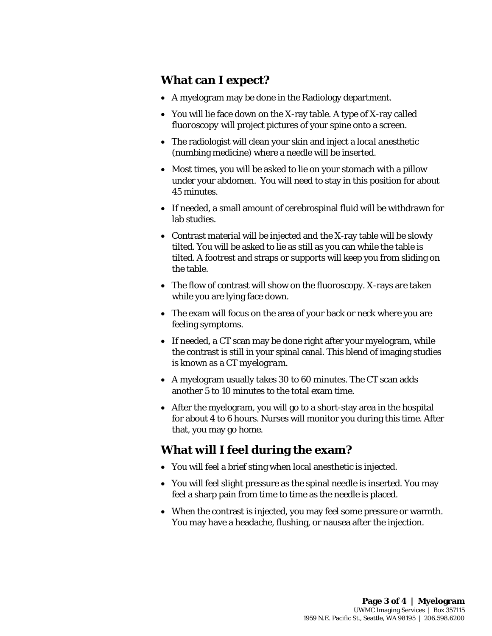# **What can I expect?**

- A myelogram may be done in the Radiology department.
- You will lie face down on the X-ray table. A type of X-ray called *fluoroscopy* will project pictures of your spine onto a screen.
- The radiologist will clean your skin and inject a *local anesthetic* (numbing medicine) where a needle will be inserted.
- Most times, you will be asked to lie on your stomach with a pillow under your abdomen. You will need to stay in this position for about 45 minutes.
- If needed, a small amount of cerebrospinal fluid will be withdrawn for lab studies.
- Contrast material will be injected and the X-ray table will be slowly tilted. You will be asked to lie as still as you can while the table is tilted. A footrest and straps or supports will keep you from sliding on the table.
- The flow of contrast will show on the fluoroscopy[. X-rays](javascript:glossAry() are taken while you are lying face down.
- The exam will focus on the area of your back or neck where you are feeling symptoms.
- If needed, a CT scan may be done right after your myelogram, while the contrast is still in your spinal canal. This blend of imaging studies is known as a *CT myelogram*.
- A myelogram usually takes 30 to 60 minutes. The CT scan adds another 5 to 10 minutes to the total exam time.
- After the myelogram, you will go to a short-stay area in the hospital for about 4 to 6 hours. Nurses will monitor you during this time. After that, you may go home.

# **What will I feel during the exam?**

- You will feel a brief sting when local [anesthetic](javascript:glossAry() is injected.
- You will feel slight pressure as the spinal needle is inserted. You may feel a sharp pain from time to time as the needle is placed.
- When [the](javascript:glossAry() contrast is injected, you may feel some pressure or warmth. You may have a headache, flushing, or nausea after the injection.